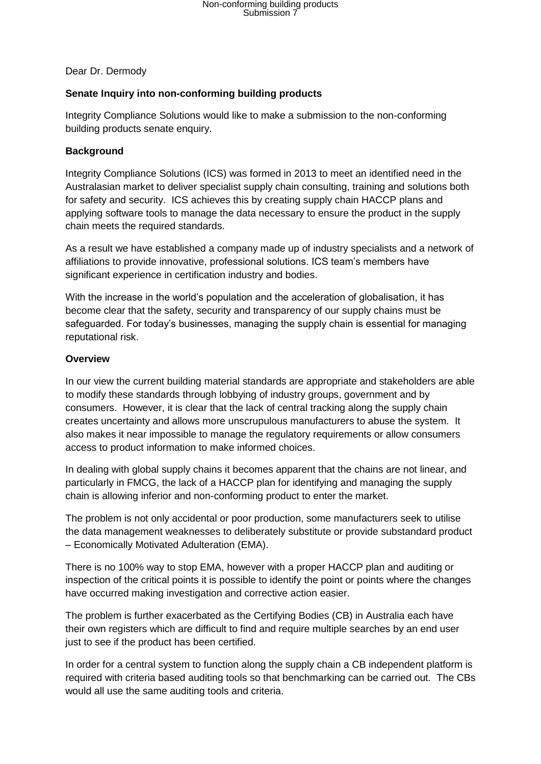Dear Dr. Dermody

## **Senate Inquiry into non-conforming building products**

Integrity Compliance Solutions would like to make a submission to the non-conforming building products senate enquiry.

### **Background**

Integrity Compliance Solutions (ICS) was formed in 2013 to meet an identified need in the Australasian market to deliver specialist supply chain consulting, training and solutions both for safety and security. ICS achieves this by creating supply chain HACCP plans and applying software tools to manage the data necessary to ensure the product in the supply chain meets the required standards.

As a result we have established a company made up of industry specialists and a network of affiliations to provide innovative, professional solutions. ICS team's members have significant experience in certification industry and bodies.

With the increase in the world's population and the acceleration of globalisation, it has become clear that the safety, security and transparency of our supply chains must be safeguarded. For today's businesses, managing the supply chain is essential for managing reputational risk.

### **Overview**

In our view the current building material standards are appropriate and stakeholders are able to modify these standards through lobbying of industry groups, government and by consumers. However, it is clear that the lack of central tracking along the supply chain creates uncertainty and allows more unscrupulous manufacturers to abuse the system. It also makes it near impossible to manage the regulatory requirements or allow consumers access to product information to make informed choices.

In dealing with global supply chains it becomes apparent that the chains are not linear, and particularly in FMCG, the lack of a HACCP plan for identifying and managing the supply chain is allowing inferior and non-conforming product to enter the market.

The problem is not only accidental or poor production, some manufacturers seek to utilise the data management weaknesses to deliberately substitute or provide substandard product – Economically Motivated Adulteration (EMA).

There is no 100% way to stop EMA, however with a proper HACCP plan and auditing or inspection of the critical points it is possible to identify the point or points where the changes have occurred making investigation and corrective action easier.

The problem is further exacerbated as the Certifying Bodies (CB) in Australia each have their own registers which are difficult to find and require multiple searches by an end user just to see if the product has been certified.

In order for a central system to function along the supply chain a CB independent platform is required with criteria based auditing tools so that benchmarking can be carried out. The CBs would all use the same auditing tools and criteria.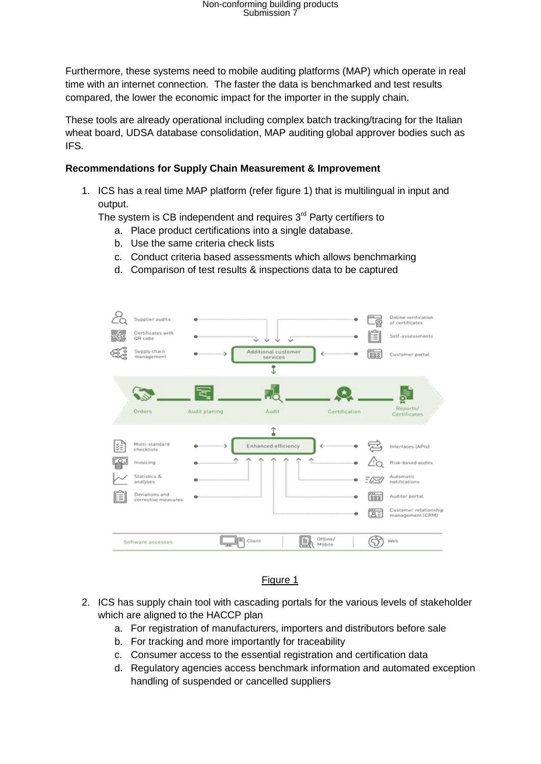# Non-conforming building products Submission 7

Furthermore, these systems need to mobile auditing platforms (MAP) which operate in real time with an internet connection. The faster the data is benchmarked and test results compared, the lower the economic impact for the importer in the supply chain.

These tools are already operational including complex batch tracking/tracing for the Italian wheat board, UDSA database consolidation, MAP auditing global approver bodies such as IFS.

#### **Recommendations for Supply Chain Measurement & Improvement**

1. ICS has a real time MAP platform (refer figure 1) that is multilingual in input and output.

The system is CB independent and requires  $3<sup>rd</sup>$  Party certifiers to

- a. Place product certifications into a single database.
- b. Use the same criteria check lists
- c. Conduct criteria based assessments which allows benchmarking
- d. Comparison of test results & inspections data to be captured



## Figure 1

- 2. ICS has supply chain tool with cascading portals for the various levels of stakeholder which are aligned to the HACCP plan
	- a. For registration of manufacturers, importers and distributors before sale
	- b. For tracking and more importantly for traceability
	- c. Consumer access to the essential registration and certification data
	- d. Regulatory agencies access benchmark information and automated exception handling of suspended or cancelled suppliers